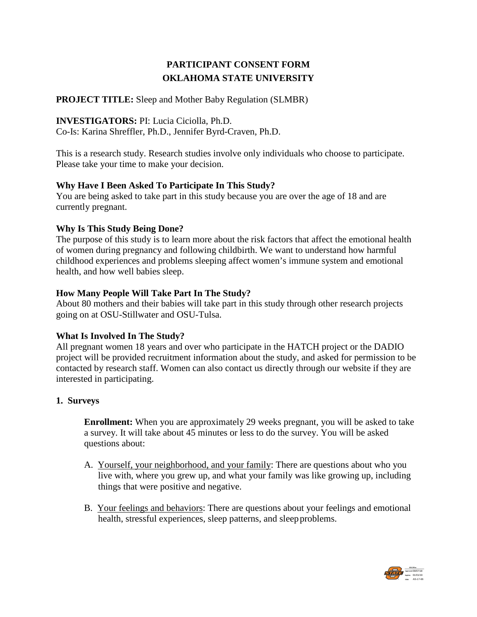# **PARTICIPANT CONSENT FORM OKLAHOMA STATE UNIVERSITY**

# **PROJECT TITLE:** Sleep and Mother Baby Regulation (SLMBR)

### **INVESTIGATORS:** PI: Lucia Ciciolla, Ph.D.

Co-Is: Karina Shreffler, Ph.D., Jennifer Byrd-Craven, Ph.D.

This is a research study. Research studies involve only individuals who choose to participate. Please take your time to make your decision.

### **Why Have I Been Asked To Participate In This Study?**

You are being asked to take part in this study because you are over the age of 18 and are currently pregnant.

### **Why Is This Study Being Done?**

The purpose of this study is to learn more about the risk factors that affect the emotional health of women during pregnancy and following childbirth. We want to understand how harmful childhood experiences and problems sleeping affect women's immune system and emotional health, and how well babies sleep.

### **How Many People Will Take Part In The Study?**

About 80 mothers and their babies will take part in this study through other research projects going on at OSU-Stillwater and OSU-Tulsa.

# **What Is Involved In The Study?**

All pregnant women 18 years and over who participate in the HATCH project or the DADIO project will be provided recruitment information about the study, and asked for permission to be contacted by research staff. Women can also contact us directly through our website if they are interested in participating.

# **1. Surveys**

**Enrollment:** When you are approximately 29 weeks pregnant, you will be asked to take a survey. It will take about 45 minutes or less to do the survey. You will be asked questions about:

- A. Yourself, your neighborhood, and your family: There are questions about who you live with, where you grew up, and what your family was like growing up, including things that were positive and negative.
- B. Your feelings and behaviors: There are questions about your feelings and emotional health, stressful experiences, sleep patterns, and sleepproblems.

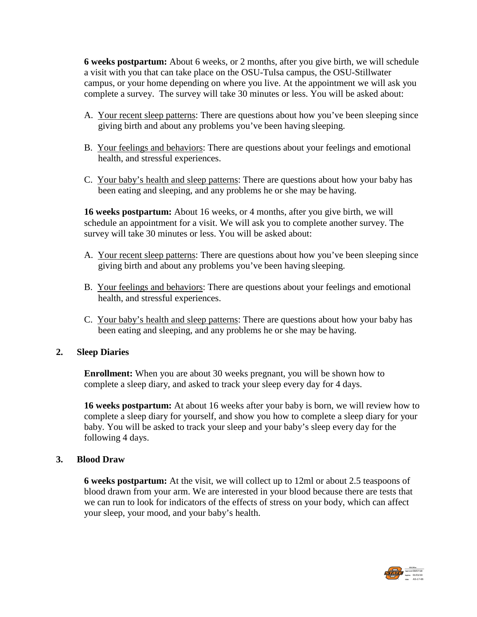**6 weeks postpartum:** About 6 weeks, or 2 months, after you give birth, we will schedule a visit with you that can take place on the OSU-Tulsa campus, the OSU-Stillwater campus, or your home depending on where you live. At the appointment we will ask you complete a survey. The survey will take 30 minutes or less. You will be asked about:

- A. Your recent sleep patterns: There are questions about how you've been sleeping since giving birth and about any problems you've been having sleeping.
- B. Your feelings and behaviors: There are questions about your feelings and emotional health, and stressful experiences.
- C. Your baby's health and sleep patterns: There are questions about how your baby has been eating and sleeping, and any problems he or she may be having.

**16 weeks postpartum:** About 16 weeks, or 4 months, after you give birth, we will schedule an appointment for a visit. We will ask you to complete another survey. The survey will take 30 minutes or less. You will be asked about:

- A. Your recent sleep patterns: There are questions about how you've been sleeping since giving birth and about any problems you've been having sleeping.
- B. Your feelings and behaviors: There are questions about your feelings and emotional health, and stressful experiences.
- C. Your baby's health and sleep patterns: There are questions about how your baby has been eating and sleeping, and any problems he or she may be having.

### **2. Sleep Diaries**

**Enrollment:** When you are about 30 weeks pregnant, you will be shown how to complete a sleep diary, and asked to track your sleep every day for 4 days.

**16 weeks postpartum:** At about 16 weeks after your baby is born, we will review how to complete a sleep diary for yourself, and show you how to complete a sleep diary for your baby. You will be asked to track your sleep and your baby's sleep every day for the following 4 days.

### **3. Blood Draw**

**6 weeks postpartum:** At the visit, we will collect up to 12ml or about 2.5 teaspoons of blood drawn from your arm. We are interested in your blood because there are tests that we can run to look for indicators of the effects of stress on your body, which can affect your sleep, your mood, and your baby's health.

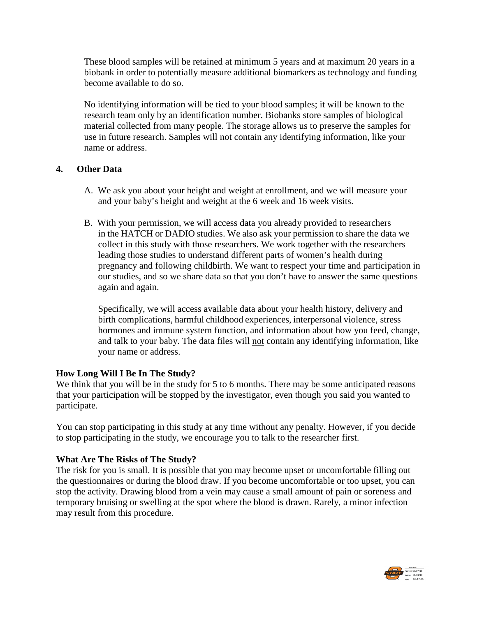These blood samples will be retained at minimum 5 years and at maximum 20 years in a biobank in order to potentially measure additional biomarkers as technology and funding become available to do so.

No identifying information will be tied to your blood samples; it will be known to the research team only by an identification number. Biobanks store samples of biological material collected from many people. The storage allows us to preserve the samples for use in future research. Samples will not contain any identifying information, like your name or address.

### **4. Other Data**

- A. We ask you about your height and weight at enrollment, and we will measure your and your baby's height and weight at the 6 week and 16 week visits.
- B. With your permission, we will access data you already provided to researchers in the HATCH or DADIO studies. We also ask your permission to share the data we collect in this study with those researchers. We work together with the researchers leading those studies to understand different parts of women's health during pregnancy and following childbirth. We want to respect your time and participation in our studies, and so we share data so that you don't have to answer the same questions again and again.

Specifically, we will access available data about your health history, delivery and birth complications, harmful childhood experiences, interpersonal violence, stress hormones and immune system function, and information about how you feed, change, and talk to your baby. The data files will not contain any identifying information, like your name or address.

# **How Long Will I Be In The Study?**

We think that you will be in the study for 5 to 6 months. There may be some anticipated reasons that your participation will be stopped by the investigator, even though you said you wanted to participate.

You can stop participating in this study at any time without any penalty. However, if you decide to stop participating in the study, we encourage you to talk to the researcher first.

### **What Are The Risks of The Study?**

The risk for you is small. It is possible that you may become upset or uncomfortable filling out the questionnaires or during the blood draw. If you become uncomfortable or too upset, you can stop the activity. Drawing blood from a vein may cause a small amount of pain or soreness and temporary bruising or swelling at the spot where the blood is drawn. Rarely, a minor infection may result from this procedure.

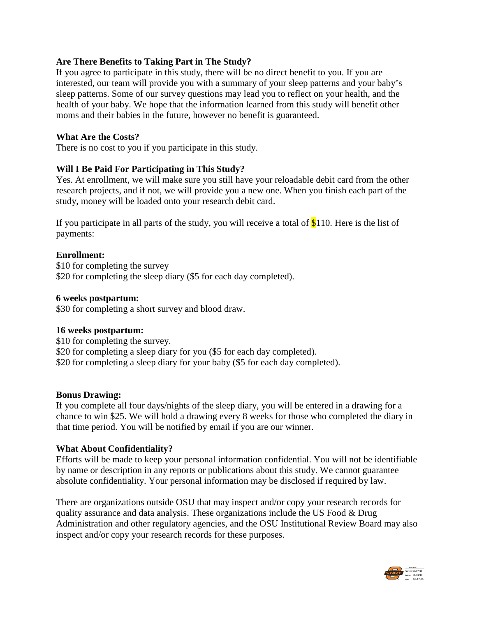# **Are There Benefits to Taking Part in The Study?**

If you agree to participate in this study, there will be no direct benefit to you. If you are interested, our team will provide you with a summary of your sleep patterns and your baby's sleep patterns. Some of our survey questions may lead you to reflect on your health, and the health of your baby. We hope that the information learned from this study will benefit other moms and their babies in the future, however no benefit is guaranteed.

#### **What Are the Costs?**

There is no cost to you if you participate in this study.

### **Will I Be Paid For Participating in This Study?**

Yes. At enrollment, we will make sure you still have your reloadable debit card from the other research projects, and if not, we will provide you a new one. When you finish each part of the study, money will be loaded onto your research debit card.

If you participate in all parts of the study, you will receive a total of  $$110$ . Here is the list of payments:

### **Enrollment:**

\$10 for completing the survey \$20 for completing the sleep diary (\$5 for each day completed).

#### **6 weeks postpartum:**

\$30 for completing a short survey and blood draw.

### **16 weeks postpartum:**

\$10 for completing the survey. \$20 for completing a sleep diary for you (\$5 for each day completed). \$20 for completing a sleep diary for your baby (\$5 for each day completed).

#### **Bonus Drawing:**

If you complete all four days/nights of the sleep diary, you will be entered in a drawing for a chance to win \$25. We will hold a drawing every 8 weeks for those who completed the diary in that time period. You will be notified by email if you are our winner.

### **What About Confidentiality?**

Efforts will be made to keep your personal information confidential. You will not be identifiable by name or description in any reports or publications about this study. We cannot guarantee absolute confidentiality. Your personal information may be disclosed if required by law.

There are organizations outside OSU that may inspect and/or copy your research records for quality assurance and data analysis. These organizations include the US Food & Drug Administration and other regulatory agencies, and the OSU Institutional Review Board may also inspect and/or copy your research records for these purposes.

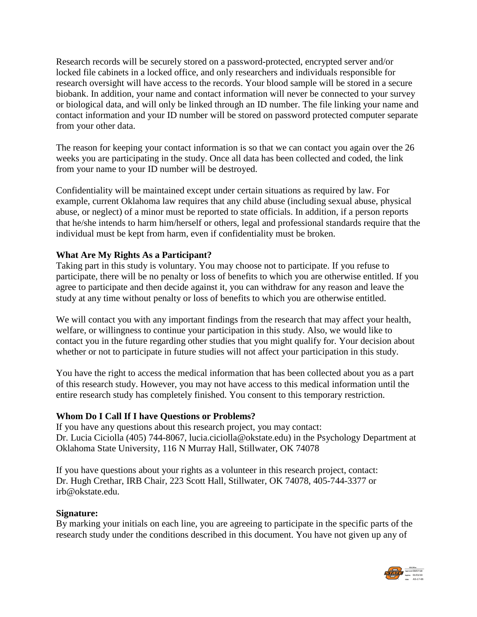Research records will be securely stored on a password-protected, encrypted server and/or locked file cabinets in a locked office, and only researchers and individuals responsible for research oversight will have access to the records. Your blood sample will be stored in a secure biobank. In addition, your name and contact information will never be connected to your survey or biological data, and will only be linked through an ID number. The file linking your name and contact information and your ID number will be stored on password protected computer separate from your other data.

The reason for keeping your contact information is so that we can contact you again over the 26 weeks you are participating in the study. Once all data has been collected and coded, the link from your name to your ID number will be destroyed.

Confidentiality will be maintained except under certain situations as required by law. For example, current Oklahoma law requires that any child abuse (including sexual abuse, physical abuse, or neglect) of a minor must be reported to state officials. In addition, if a person reports that he/she intends to harm him/herself or others, legal and professional standards require that the individual must be kept from harm, even if confidentiality must be broken.

# **What Are My Rights As a Participant?**

Taking part in this study is voluntary. You may choose not to participate. If you refuse to participate, there will be no penalty or loss of benefits to which you are otherwise entitled. If you agree to participate and then decide against it, you can withdraw for any reason and leave the study at any time without penalty or loss of benefits to which you are otherwise entitled.

We will contact you with any important findings from the research that may affect your health, welfare, or willingness to continue your participation in this study. Also, we would like to contact you in the future regarding other studies that you might qualify for. Your decision about whether or not to participate in future studies will not affect your participation in this study.

You have the right to access the medical information that has been collected about you as a part of this research study. However, you may not have access to this medical information until the entire research study has completely finished. You consent to this temporary restriction.

### **Whom Do I Call If I have Questions or Problems?**

If you have any questions about this research project, you may contact: Dr. Lucia Ciciolla (405) 744-8067, lucia.ciciolla@okstate.edu) in the Psychology Department at Oklahoma State University, 116 N Murray Hall, Stillwater, OK 74078

If you have questions about your rights as a volunteer in this research project, contact: Dr. Hugh Crethar, IRB Chair, 223 Scott Hall, Stillwater, OK 74078, 405-744-3377 or irb@okstate.edu.

#### **Signature:**

By marking your initials on each line, you are agreeing to participate in the specific parts of the research study under the conditions described in this document. You have not given up any of